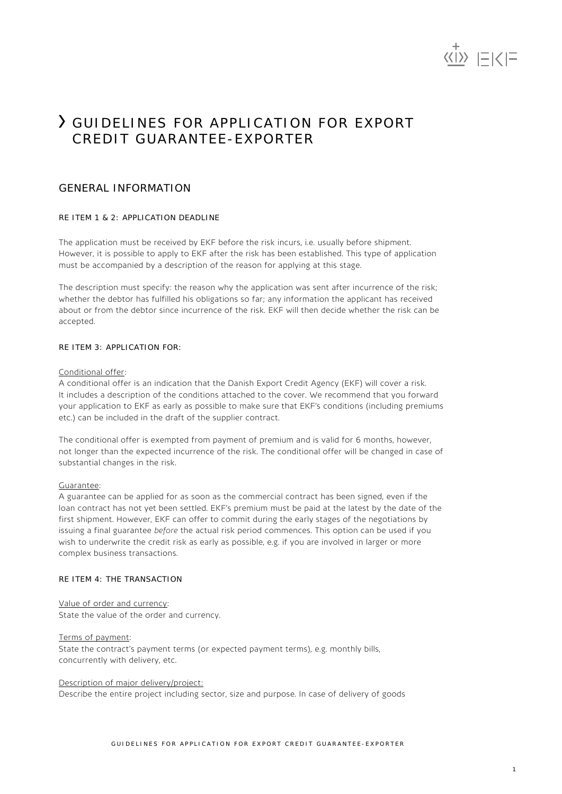

# GUIDELINES FOR APPLICATION FOR EXPORT CREDIT GUARANTEE-EXPORTER

# GENERAL INFORMATION

# RE ITEM 1 & 2: APPLICATION DEADLINE

The application must be received by EKF before the risk incurs, i.e. usually before shipment. However, it is possible to apply to EKF after the risk has been established. This type of application must be accompanied by a description of the reason for applying at this stage.

The description must specify: the reason why the application was sent after incurrence of the risk; whether the debtor has fulfilled his obligations so far; any information the applicant has received about or from the debtor since incurrence of the risk. EKF will then decide whether the risk can be accepted.

# RE ITEM 3: APPLICATION FOR:

### Conditional offer:

A conditional offer is an indication that the Danish Export Credit Agency (EKF) will cover a risk. It includes a description of the conditions attached to the cover. We recommend that you forward your application to EKF as early as possible to make sure that EKF's conditions (including premiums etc.) can be included in the draft of the supplier contract.

The conditional offer is exempted from payment of premium and is valid for 6 months, however, not longer than the expected incurrence of the risk. The conditional offer will be changed in case of substantial changes in the risk.

### Guarantee:

A guarantee can be applied for as soon as the commercial contract has been signed, even if the loan contract has not yet been settled. EKF's premium must be paid at the latest by the date of the first shipment. However, EKF can offer to commit during the early stages of the negotiations by issuing a final guarantee *before* the actual risk period commences. This option can be used if you wish to underwrite the credit risk as early as possible, e.g. if you are involved in larger or more complex business transactions.

### RE ITEM 4: THE TRANSACTION

Value of order and currency: State the value of the order and currency.

Terms of payment: State the contract's payment terms (or expected payment terms), e.g. monthly bills, concurrently with delivery, etc.

# Description of major delivery/project:

Describe the entire project including sector, size and purpose. In case of delivery of goods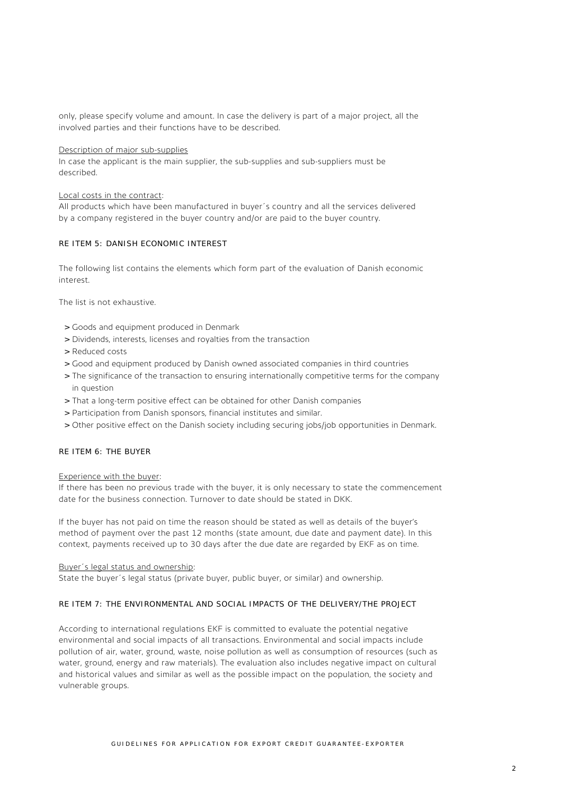only, please specify volume and amount. In case the delivery is part of a major project, all the involved parties and their functions have to be described.

## Description of major sub-supplies

In case the applicant is the main supplier, the sub-supplies and sub-suppliers must be described.

## Local costs in the contract:

All products which have been manufactured in buyer´s country and all the services delivered by a company registered in the buyer country and/or are paid to the buyer country.

# RE ITEM 5: DANISH ECONOMIC INTEREST

The following list contains the elements which form part of the evaluation of Danish economic interest.

The list is not exhaustive.

- > Goods and equipment produced in Denmark
- > Dividends, interests, licenses and royalties from the transaction
- > Reduced costs
- > Good and equipment produced by Danish owned associated companies in third countries
- > The significance of the transaction to ensuring internationally competitive terms for the company in question
- > That a long-term positive effect can be obtained for other Danish companies
- > Participation from Danish sponsors, financial institutes and similar.
- > Other positive effect on the Danish society including securing jobs/job opportunities in Denmark.

# RE ITEM 6: THE BUYER

### Experience with the buyer:

If there has been no previous trade with the buyer, it is only necessary to state the commencement date for the business connection. Turnover to date should be stated in DKK.

If the buyer has not paid on time the reason should be stated as well as details of the buyer's method of payment over the past 12 months (state amount, due date and payment date). In this context, payments received up to 30 days after the due date are regarded by EKF as on time.

Buyer´s legal status and ownership:

State the buyer´s legal status (private buyer, public buyer, or similar) and ownership.

# RE ITEM 7: THE ENVIRONMENTAL AND SOCIAL IMPACTS OF THE DELIVERY/THE PROJECT

According to international regulations EKF is committed to evaluate the potential negative environmental and social impacts of all transactions. Environmental and social impacts include pollution of air, water, ground, waste, noise pollution as well as consumption of resources (such as water, ground, energy and raw materials). The evaluation also includes negative impact on cultural and historical values and similar as well as the possible impact on the population, the society and vulnerable groups.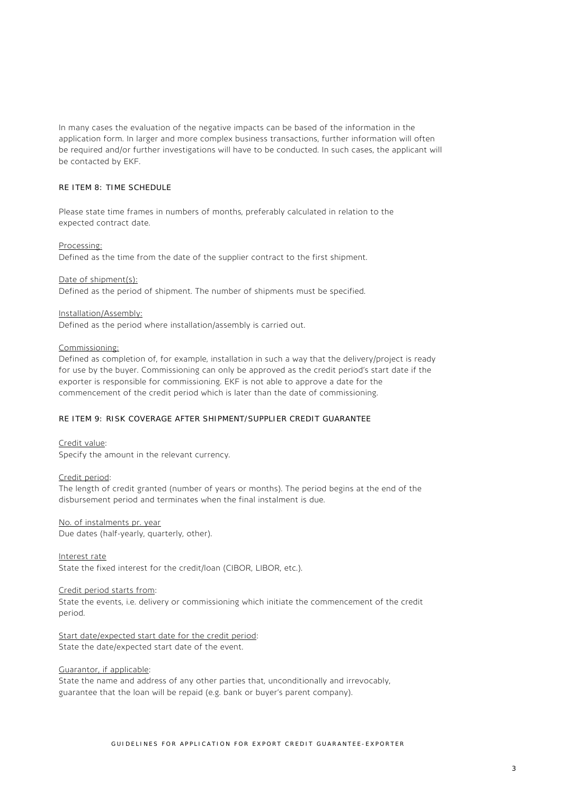In many cases the evaluation of the negative impacts can be based of the information in the application form. In larger and more complex business transactions, further information will often be required and/or further investigations will have to be conducted. In such cases, the applicant will be contacted by EKF.

#### RE ITEM 8: TIME SCHEDULE

Please state time frames in numbers of months, preferably calculated in relation to the expected contract date.

#### Processing:

Defined as the time from the date of the supplier contract to the first shipment.

#### Date of shipment(s):

Defined as the period of shipment. The number of shipments must be specified.

#### Installation/Assembly:

Defined as the period where installation/assembly is carried out.

# Commissioning:

Defined as completion of, for example, installation in such a way that the delivery/project is ready for use by the buyer. Commissioning can only be approved as the credit period's start date if the exporter is responsible for commissioning. EKF is not able to approve a date for the commencement of the credit period which is later than the date of commissioning.

# RE ITEM 9: RISK COVERAGE AFTER SHIPMENT/SUPPLIER CREDIT GUARANTEE

Credit value: Specify the amount in the relevant currency.

# Credit period:

The length of credit granted (number of years or months). The period begins at the end of the disbursement period and terminates when the final instalment is due.

# No. of instalments pr. year

Due dates (half-yearly, quarterly, other).

Interest rate State the fixed interest for the credit/loan (CIBOR, LIBOR, etc.).

#### Credit period starts from:

State the events, i.e. delivery or commissioning which initiate the commencement of the credit period.

Start date/expected start date for the credit period: State the date/expected start date of the event.

#### Guarantor, if applicable:

State the name and address of any other parties that, unconditionally and irrevocably, guarantee that the loan will be repaid (e.g. bank or buyer's parent company).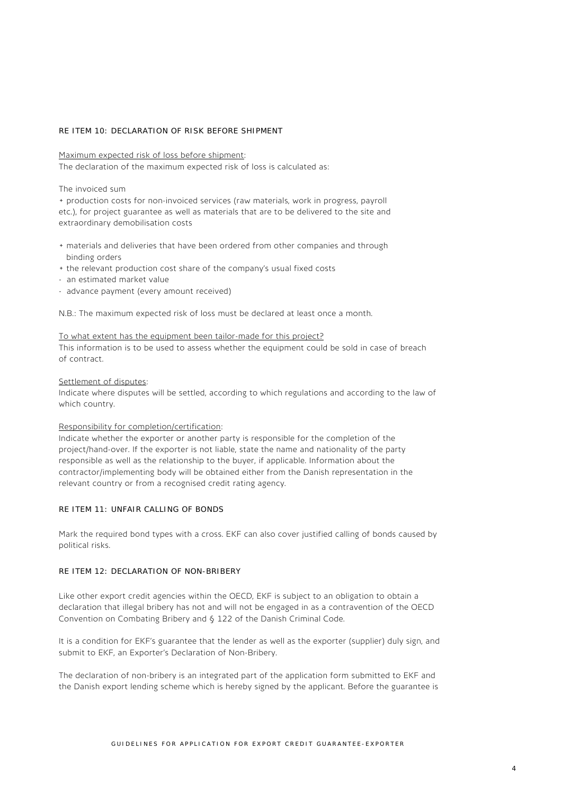#### RE ITEM 10: DECLARATION OF RISK BEFORE SHIPMENT

#### Maximum expected risk of loss before shipment:

The declaration of the maximum expected risk of loss is calculated as:

#### The invoiced sum

+ production costs for non-invoiced services (raw materials, work in progress, payroll etc.), for project guarantee as well as materials that are to be delivered to the site and extraordinary demobilisation costs

- + materials and deliveries that have been ordered from other companies and through binding orders
- + the relevant production cost share of the company's usual fixed costs
- an estimated market value
- advance payment (every amount received)

N.B.: The maximum expected risk of loss must be declared at least once a month.

### To what extent has the equipment been tailor-made for this project?

This information is to be used to assess whether the equipment could be sold in case of breach of contract.

# Settlement of disputes:

Indicate where disputes will be settled, according to which regulations and according to the law of which country.

# Responsibility for completion/certification:

Indicate whether the exporter or another party is responsible for the completion of the project/hand-over. If the exporter is not liable, state the name and nationality of the party responsible as well as the relationship to the buyer, if applicable. Information about the contractor/implementing body will be obtained either from the Danish representation in the relevant country or from a recognised credit rating agency.

### RE ITEM 11: UNFAIR CALLING OF BONDS

Mark the required bond types with a cross. EKF can also cover justified calling of bonds caused by political risks.

#### RE ITEM 12: DECLARATION OF NON-BRIBERY

Like other export credit agencies within the OECD, EKF is subject to an obligation to obtain a declaration that illegal bribery has not and will not be engaged in as a contravention of the OECD Convention on Combating Bribery and § 122 of the Danish Criminal Code.

It is a condition for EKF's guarantee that the lender as well as the exporter (supplier) duly sign, and submit to EKF, an Exporter's Declaration of Non-Bribery.

The declaration of non-bribery is an integrated part of the application form submitted to EKF and the Danish export lending scheme which is hereby signed by the applicant. Before the guarantee is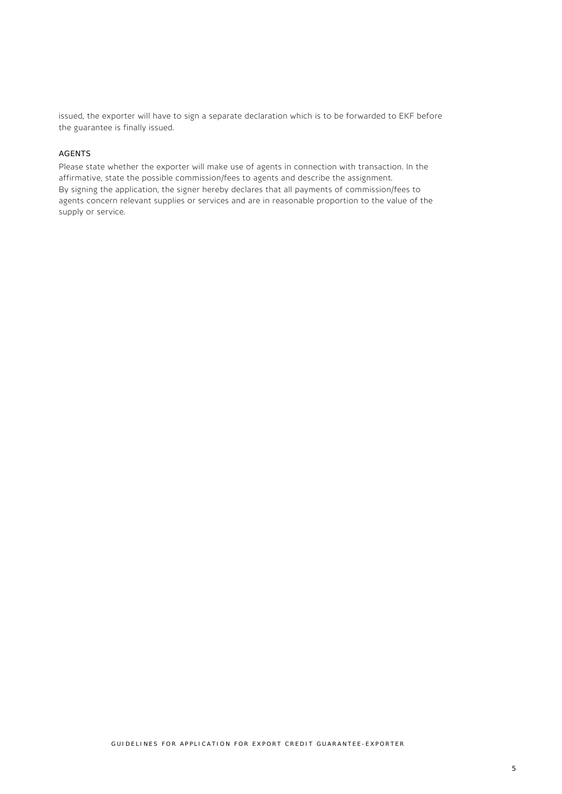issued, the exporter will have to sign a separate declaration which is to be forwarded to EKF before the guarantee is finally issued.

# AGENTS

Please state whether the exporter will make use of agents in connection with transaction. In the affirmative, state the possible commission/fees to agents and describe the assignment. By signing the application, the signer hereby declares that all payments of commission/fees to agents concern relevant supplies or services and are in reasonable proportion to the value of the supply or service.